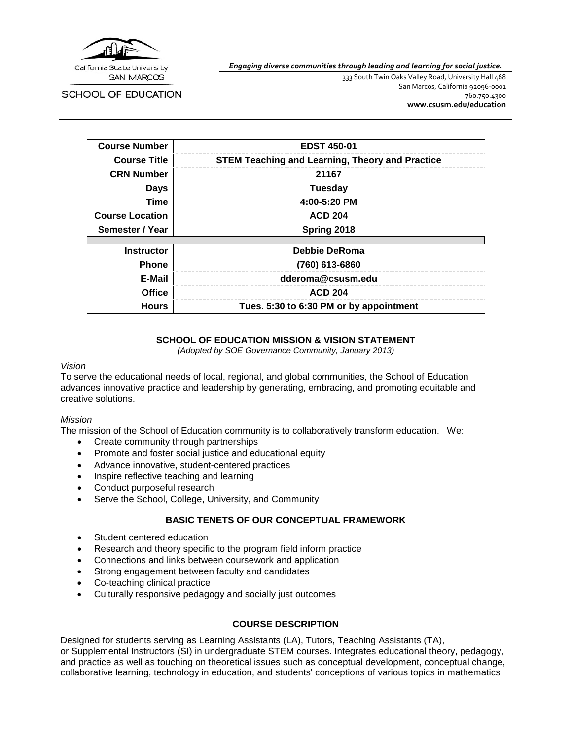

*Engaging diverse communities through leading and learning for social justice.*

SCHOOL OF EDUCATION

333 South Twin Oaks Valley Road, University Hall 468 San Marcos, California 92096-0001 760.750.4300 **[www.csusm.edu/education](http://www.csusm.edu/education)**

| <b>Course Number</b>   | <b>EDST 450-01</b>                                     |
|------------------------|--------------------------------------------------------|
| <b>Course Title</b>    | <b>STEM Teaching and Learning, Theory and Practice</b> |
| <b>CRN Number</b>      | 21167                                                  |
| <b>Days</b>            | <b>Tuesday</b>                                         |
| Time                   | 4:00-5:20 PM                                           |
| <b>Course Location</b> | <b>ACD 204</b>                                         |
| Semester / Year        | Spring 2018                                            |
|                        |                                                        |
| <b>Instructor</b>      | Debbie DeRoma                                          |
| <b>Phone</b>           | (760) 613-6860                                         |
| E-Mail                 | dderoma@csusm.edu                                      |
| <b>Office</b>          | <b>ACD 204</b>                                         |
| <b>Hours</b>           | Tues. 5:30 to 6:30 PM or by appointment                |

### **SCHOOL OF EDUCATION MISSION & VISION STATEMENT**

*(Adopted by SOE Governance Community, January 2013)*

#### *Vision*

To serve the educational needs of local, regional, and global communities, the School of Education advances innovative practice and leadership by generating, embracing, and promoting equitable and creative solutions.

#### *Mission*

The mission of the School of Education community is to collaboratively transform education. We:

- Create community through partnerships
- Promote and foster social justice and educational equity
- Advance innovative, student-centered practices
- Inspire reflective teaching and learning
- Conduct purposeful research
- Serve the School, College, University, and Community

#### **BASIC TENETS OF OUR CONCEPTUAL FRAMEWORK**

- Student centered education
- Research and theory specific to the program field inform practice
- Connections and links between coursework and application
- Strong engagement between faculty and candidates
- Co-teaching clinical practice
- Culturally responsive pedagogy and socially just outcomes

#### **COURSE DESCRIPTION**

Designed for students serving as Learning Assistants (LA), Tutors, Teaching Assistants (TA), or Supplemental Instructors (SI) in undergraduate STEM courses. Integrates educational theory, pedagogy, and practice as well as touching on theoretical issues such as conceptual development, conceptual change, collaborative learning, technology in education, and students' conceptions of various topics in mathematics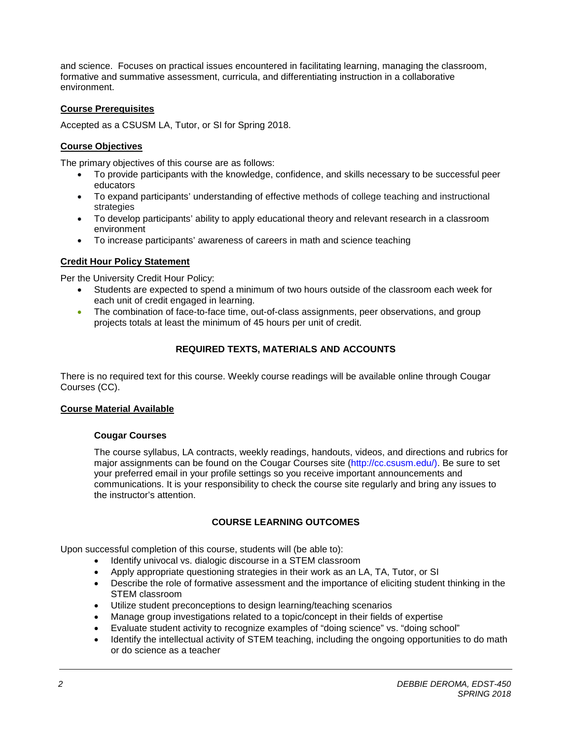and science. Focuses on practical issues encountered in facilitating learning, managing the classroom, formative and summative assessment, curricula, and differentiating instruction in a collaborative environment.

### **Course Prerequisites**

Accepted as a CSUSM LA, Tutor, or SI for Spring 2018.

## **Course Objectives**

The primary objectives of this course are as follows:

- To provide participants with the knowledge, confidence, and skills necessary to be successful peer educators
- To expand participants' understanding of effective methods of college teaching and instructional strategies
- To develop participants' ability to apply educational theory and relevant research in a classroom environment
- To increase participants' awareness of careers in math and science teaching

### **Credit Hour Policy Statement**

Per the University Credit Hour Policy:

- Students are expected to spend a minimum of two hours outside of the classroom each week for each unit of credit engaged in learning.
- The combination of face-to-face time, out-of-class assignments, peer observations, and group projects totals at least the minimum of 45 hours per unit of credit.

## **REQUIRED TEXTS, MATERIALS AND ACCOUNTS**

There is no required text for this course. Weekly course readings will be available online through Cougar Courses (CC).

#### **Course Material Available**

#### **Cougar Courses**

The course syllabus, LA contracts, weekly readings, handouts, videos, and directions and rubrics for major assignments can be found on the Cougar Courses site (http://cc.csusm.edu/). Be sure to set your preferred email in your profile settings so you receive important announcements and communications. It is your responsibility to check the course site regularly and bring any issues to the instructor's attention.

## **COURSE LEARNING OUTCOMES**

Upon successful completion of this course, students will (be able to):

- Identify univocal vs. dialogic discourse in a STEM classroom
- Apply appropriate questioning strategies in their work as an LA, TA, Tutor, or SI
- Describe the role of formative assessment and the importance of eliciting student thinking in the STEM classroom
- Utilize student preconceptions to design learning/teaching scenarios
- Manage group investigations related to a topic/concept in their fields of expertise
- Evaluate student activity to recognize examples of "doing science" vs. "doing school"
- Identify the intellectual activity of STEM teaching, including the ongoing opportunities to do math or do science as a teacher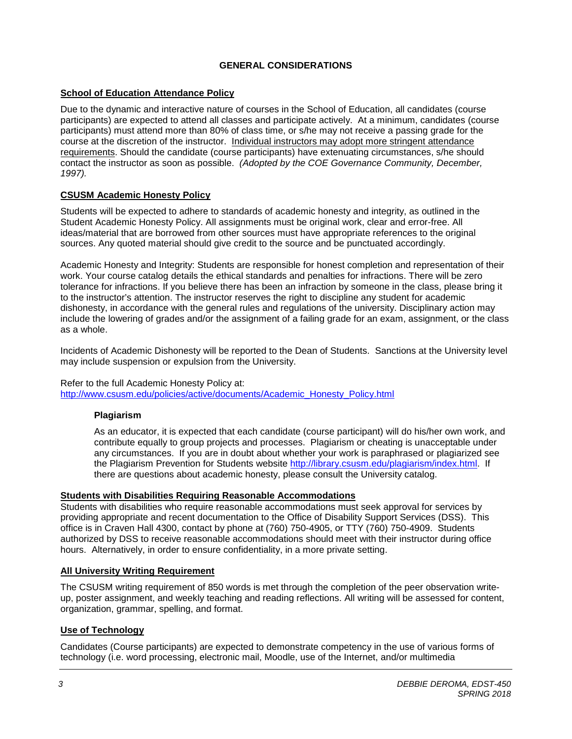## **GENERAL CONSIDERATIONS**

## **School of Education Attendance Policy**

Due to the dynamic and interactive nature of courses in the School of Education, all candidates (course participants) are expected to attend all classes and participate actively. At a minimum, candidates (course participants) must attend more than 80% of class time, or s/he may not receive a passing grade for the course at the discretion of the instructor. Individual instructors may adopt more stringent attendance requirements. Should the candidate (course participants) have extenuating circumstances, s/he should contact the instructor as soon as possible. *(Adopted by the COE Governance Community, December, 1997).*

### **CSUSM Academic Honesty Policy**

Students will be expected to adhere to standards of academic honesty and integrity, as outlined in the Student Academic Honesty Policy. All assignments must be original work, clear and error-free. All ideas/material that are borrowed from other sources must have appropriate references to the original sources. Any quoted material should give credit to the source and be punctuated accordingly.

Academic Honesty and Integrity: Students are responsible for honest completion and representation of their work. Your course catalog details the ethical standards and penalties for infractions. There will be zero tolerance for infractions. If you believe there has been an infraction by someone in the class, please bring it to the instructor's attention. The instructor reserves the right to discipline any student for academic dishonesty, in accordance with the general rules and regulations of the university. Disciplinary action may include the lowering of grades and/or the assignment of a failing grade for an exam, assignment, or the class as a whole.

Incidents of Academic Dishonesty will be reported to the Dean of Students. Sanctions at the University level may include suspension or expulsion from the University.

#### Refer to the full Academic Honesty Policy at:

[http://www.csusm.edu/policies/active/documents/Academic\\_Honesty\\_Policy.html](http://www.csusm.edu/policies/active/documents/Academic_Honesty_Policy.html)

#### **Plagiarism**

As an educator, it is expected that each candidate (course participant) will do his/her own work, and contribute equally to group projects and processes. Plagiarism or cheating is unacceptable under any circumstances. If you are in doubt about whether your work is paraphrased or plagiarized see the Plagiarism Prevention for Students website [http://library.csusm.edu/plagiarism/index.html.](http://library.csusm.edu/plagiarism/index.html) If there are questions about academic honesty, please consult the University catalog.

#### **Students with Disabilities Requiring Reasonable Accommodations**

Students with disabilities who require reasonable accommodations must seek approval for services by providing appropriate and recent documentation to the Office of Disability Support Services (DSS). This office is in Craven Hall 4300, contact by phone at (760) 750-4905, or TTY (760) 750-4909. Students authorized by DSS to receive reasonable accommodations should meet with their instructor during office hours. Alternatively, in order to ensure confidentiality, in a more private setting.

#### **All University Writing Requirement**

The CSUSM writing requirement of 850 words is met through the completion of the peer observation writeup, poster assignment, and weekly teaching and reading reflections. All writing will be assessed for content, organization, grammar, spelling, and format.

#### **Use of Technology**

Candidates (Course participants) are expected to demonstrate competency in the use of various forms of technology (i.e. word processing, electronic mail, Moodle, use of the Internet, and/or multimedia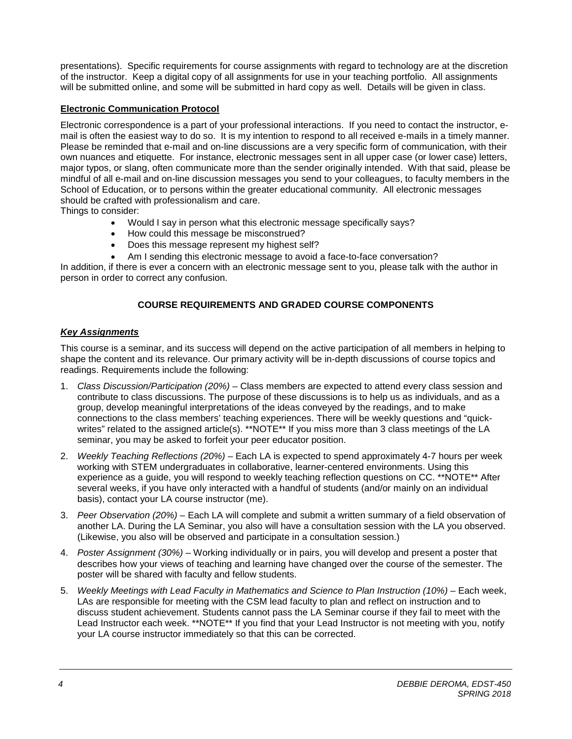presentations). Specific requirements for course assignments with regard to technology are at the discretion of the instructor. Keep a digital copy of all assignments for use in your teaching portfolio. All assignments will be submitted online, and some will be submitted in hard copy as well. Details will be given in class.

## **Electronic Communication Protocol**

Electronic correspondence is a part of your professional interactions. If you need to contact the instructor, email is often the easiest way to do so. It is my intention to respond to all received e-mails in a timely manner. Please be reminded that e-mail and on-line discussions are a very specific form of communication, with their own nuances and etiquette. For instance, electronic messages sent in all upper case (or lower case) letters, major typos, or slang, often communicate more than the sender originally intended. With that said, please be mindful of all e-mail and on-line discussion messages you send to your colleagues, to faculty members in the School of Education, or to persons within the greater educational community. All electronic messages should be crafted with professionalism and care.

Things to consider:

- Would I say in person what this electronic message specifically says?
- How could this message be misconstrued?
- Does this message represent my highest self?
- Am I sending this electronic message to avoid a face-to-face conversation?

In addition, if there is ever a concern with an electronic message sent to you, please talk with the author in person in order to correct any confusion.

## **COURSE REQUIREMENTS AND GRADED COURSE COMPONENTS**

### *Key Assignments*

This course is a seminar, and its success will depend on the active participation of all members in helping to shape the content and its relevance. Our primary activity will be in-depth discussions of course topics and readings. Requirements include the following:

- 1. *Class Discussion/Participation (20%) –* Class members are expected to attend every class session and contribute to class discussions. The purpose of these discussions is to help us as individuals, and as a group, develop meaningful interpretations of the ideas conveyed by the readings, and to make connections to the class members' teaching experiences. There will be weekly questions and "quickwrites" related to the assigned article(s). \*\*NOTE\*\* If you miss more than 3 class meetings of the LA seminar, you may be asked to forfeit your peer educator position.
- 2. *Weekly Teaching Reflections (20%) –* Each LA is expected to spend approximately 4-7 hours per week working with STEM undergraduates in collaborative, learner-centered environments. Using this experience as a guide, you will respond to weekly teaching reflection questions on CC. \*\*NOTE\*\* After several weeks, if you have only interacted with a handful of students (and/or mainly on an individual basis), contact your LA course instructor (me).
- 3. *Peer Observation (20%) –* Each LA will complete and submit a written summary of a field observation of another LA. During the LA Seminar, you also will have a consultation session with the LA you observed. (Likewise, you also will be observed and participate in a consultation session.)
- 4. *Poster Assignment (30%)* Working individually or in pairs, you will develop and present a poster that describes how your views of teaching and learning have changed over the course of the semester. The poster will be shared with faculty and fellow students.
- 5. *Weekly Meetings with Lead Faculty in Mathematics and Science to Plan Instruction (10%) –* Each week, LAs are responsible for meeting with the CSM lead faculty to plan and reflect on instruction and to discuss student achievement. Students cannot pass the LA Seminar course if they fail to meet with the Lead Instructor each week. \*\*NOTE\*\* If you find that your Lead Instructor is not meeting with you, notify your LA course instructor immediately so that this can be corrected.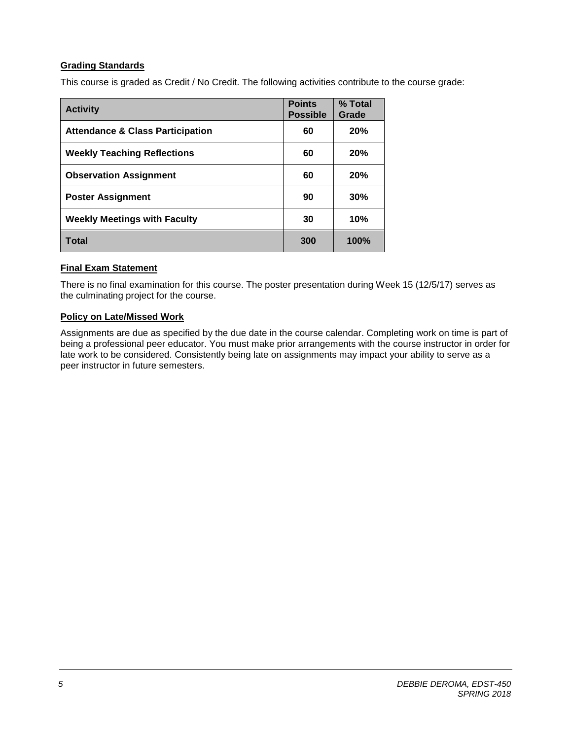## **Grading Standards**

This course is graded as Credit / No Credit. The following activities contribute to the course grade:

| <b>Activity</b>                             | <b>Points</b><br><b>Possible</b> | % Total<br>Grade |
|---------------------------------------------|----------------------------------|------------------|
| <b>Attendance &amp; Class Participation</b> | 60                               | 20%              |
| <b>Weekly Teaching Reflections</b>          | 60                               | 20%              |
| <b>Observation Assignment</b>               | 60                               | 20%              |
| <b>Poster Assignment</b>                    | 90                               | 30%              |
| <b>Weekly Meetings with Faculty</b>         | 30                               | 10%              |
| Total                                       | 300                              | 100%             |

## **Final Exam Statement**

There is no final examination for this course. The poster presentation during Week 15 (12/5/17) serves as the culminating project for the course.

## **Policy on Late/Missed Work**

Assignments are due as specified by the due date in the course calendar. Completing work on time is part of being a professional peer educator. You must make prior arrangements with the course instructor in order for late work to be considered. Consistently being late on assignments may impact your ability to serve as a peer instructor in future semesters.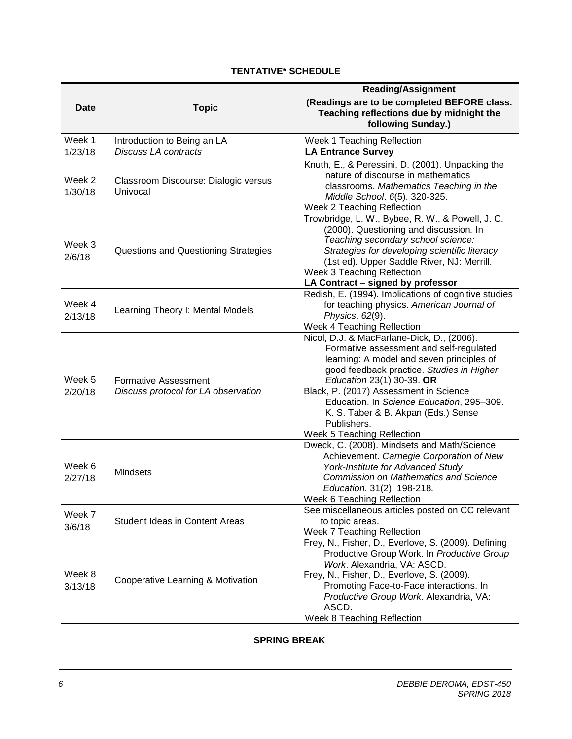# **TENTATIVE\* SCHEDULE**

|                   |                                                                    | <b>Reading/Assignment</b>                                                                                                                                                                                                                                                                                                                                                               |  |
|-------------------|--------------------------------------------------------------------|-----------------------------------------------------------------------------------------------------------------------------------------------------------------------------------------------------------------------------------------------------------------------------------------------------------------------------------------------------------------------------------------|--|
| <b>Date</b>       | <b>Topic</b>                                                       | (Readings are to be completed BEFORE class.<br>Teaching reflections due by midnight the<br>following Sunday.)                                                                                                                                                                                                                                                                           |  |
| Week 1<br>1/23/18 | Introduction to Being an LA<br><b>Discuss LA contracts</b>         | Week 1 Teaching Reflection<br><b>LA Entrance Survey</b>                                                                                                                                                                                                                                                                                                                                 |  |
| Week 2<br>1/30/18 | Classroom Discourse: Dialogic versus<br>Univocal                   | Knuth, E., & Peressini, D. (2001). Unpacking the<br>nature of discourse in mathematics<br>classrooms. Mathematics Teaching in the<br>Middle School. 6(5). 320-325.<br>Week 2 Teaching Reflection                                                                                                                                                                                        |  |
| Week 3<br>2/6/18  | Questions and Questioning Strategies                               | Trowbridge, L. W., Bybee, R. W., & Powell, J. C.<br>(2000). Questioning and discussion. In<br>Teaching secondary school science:<br>Strategies for developing scientific literacy<br>(1st ed). Upper Saddle River, NJ: Merrill.<br>Week 3 Teaching Reflection<br>LA Contract - signed by professor                                                                                      |  |
| Week 4<br>2/13/18 | Learning Theory I: Mental Models                                   | Redish, E. (1994). Implications of cognitive studies<br>for teaching physics. American Journal of<br>Physics. 62(9).<br>Week 4 Teaching Reflection                                                                                                                                                                                                                                      |  |
| Week 5<br>2/20/18 | <b>Formative Assessment</b><br>Discuss protocol for LA observation | Nicol, D.J. & MacFarlane-Dick, D., (2006).<br>Formative assessment and self-regulated<br>learning: A model and seven principles of<br>good feedback practice. Studies in Higher<br>Education 23(1) 30-39. OR<br>Black, P. (2017) Assessment in Science<br>Education. In Science Education, 295-309.<br>K. S. Taber & B. Akpan (Eds.) Sense<br>Publishers.<br>Week 5 Teaching Reflection |  |
| Week 6<br>2/27/18 | <b>Mindsets</b>                                                    | Dweck, C. (2008). Mindsets and Math/Science<br>Achievement. Carnegie Corporation of New<br>York-Institute for Advanced Study<br><b>Commission on Mathematics and Science</b><br>Education. 31(2), 198-218.<br>Week 6 Teaching Reflection                                                                                                                                                |  |
| Week 7<br>3/6/18  | <b>Student Ideas in Content Areas</b>                              | See miscellaneous articles posted on CC relevant<br>to topic areas.<br>Week 7 Teaching Reflection                                                                                                                                                                                                                                                                                       |  |
| Week 8<br>3/13/18 | Cooperative Learning & Motivation                                  | Frey, N., Fisher, D., Everlove, S. (2009). Defining<br>Productive Group Work. In Productive Group<br>Work. Alexandria, VA: ASCD.<br>Frey, N., Fisher, D., Everlove, S. (2009).<br>Promoting Face-to-Face interactions. In<br>Productive Group Work. Alexandria, VA:<br>ASCD.<br>Week 8 Teaching Reflection                                                                              |  |

## **SPRING BREAK**